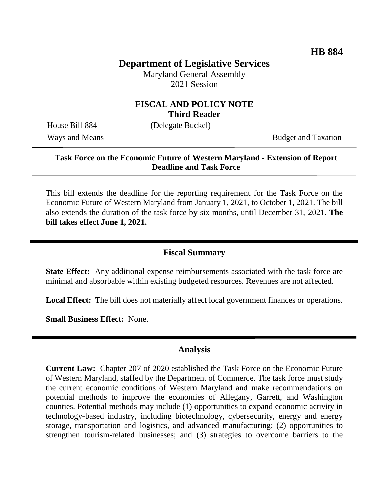# **Department of Legislative Services**

Maryland General Assembly 2021 Session

## **FISCAL AND POLICY NOTE Third Reader**

House Bill 884 (Delegate Buckel)

Ways and Means Budget and Taxation

### **Task Force on the Economic Future of Western Maryland - Extension of Report Deadline and Task Force**

This bill extends the deadline for the reporting requirement for the Task Force on the Economic Future of Western Maryland from January 1, 2021, to October 1, 2021. The bill also extends the duration of the task force by six months, until December 31, 2021. **The bill takes effect June 1, 2021.**

# **Fiscal Summary**

**State Effect:** Any additional expense reimbursements associated with the task force are minimal and absorbable within existing budgeted resources. Revenues are not affected.

**Local Effect:** The bill does not materially affect local government finances or operations.

**Small Business Effect:** None.

## **Analysis**

**Current Law:** Chapter 207 of 2020 established the Task Force on the Economic Future of Western Maryland, staffed by the Department of Commerce. The task force must study the current economic conditions of Western Maryland and make recommendations on potential methods to improve the economies of Allegany, Garrett, and Washington counties. Potential methods may include (1) opportunities to expand economic activity in technology-based industry, including biotechnology, cybersecurity, energy and energy storage, transportation and logistics, and advanced manufacturing; (2) opportunities to strengthen tourism-related businesses; and (3) strategies to overcome barriers to the